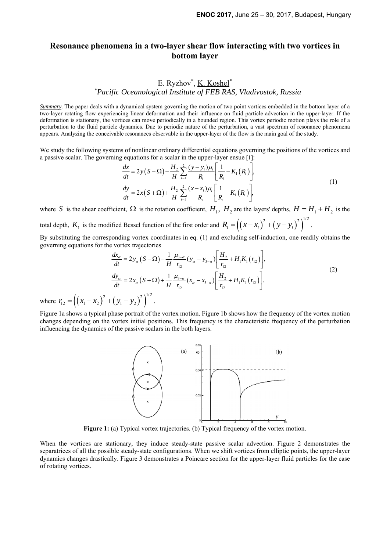## **Resonance phenomena in a two-layer shear flow interacting with two vortices in bottom layer**

## E. Ryzhov<sup>\*</sup>, <u>K. Koshel</u>\* *\*Pacific Oceanological Institute of FEB RAS, Vladivostok, Russia*

*Summary*. The paper deals with a dynamical system governing the motion of two point vortices embedded in the bottom layer of a two-layer rotating flow experiencing linear deformation and their influence on fluid particle advection in the upper-layer. If the deformation is stationary, the vortices can move periodically in a bounded region. This vortex periodic motion plays the role of a perturbation to the fluid particle dynamics. Due to periodic nature of the perturbation, a vast spectrum of resonance phenomena appears. Analyzing the conceivable resonances observable in the upper-layer of the flow is the main goal of the study.

We study the following systems of nonlinear ordinary differential equations governing the positions of the vortices and a passive scalar. The governing equations for a scalar in the upper-layer ensue [1]:

$$
\frac{dx}{dt} = 2y(S - \Omega) - \frac{H_2}{H} \sum_{i=1}^{2} \frac{(y - y_i)\mu_i}{R_i} \left[ \frac{1}{R_i} - K_1(R_i) \right],
$$
\n
$$
\frac{dy}{dt} = 2x(S + \Omega) + \frac{H_2}{H} \sum_{i=1}^{2} \frac{(x - x_i)\mu_i}{R_i} \left[ \frac{1}{R_i} - K_1(R_i) \right],
$$
\n(1)

where *S* is the shear coefficient,  $\Omega$  is the rotation coefficient,  $H_1$ ,  $H_2$  are the layers' depths,  $H = H_1 + H_2$  is the total depth,  $K_1$  is the modified Bessel function of the first order and  $R_i = ((x - x_i)^2 + (y - y_i)^2)^{1/2}$ .

By substituting the corresponding vortex coordinates in eq. (1) and excluding self-induction, one readily obtains the

governing equations for the vortex trajectories

$$
\frac{dx_{\alpha}}{dt} = 2y_{\alpha} (S - \Omega) - \frac{1}{H} \frac{\mu_{3-\alpha}}{r_{12}} (y_{\alpha} - y_{3-\alpha}) \left[ \frac{H_2}{r_{12}} + H_1 K_1 (r_{12}) \right],
$$
\n
$$
\frac{dy_{\alpha}}{dt} = 2x_{\alpha} (S + \Omega) + \frac{1}{H} \frac{\mu_{3-\alpha}}{r_{12}} (x_{\alpha} - x_{3-\alpha}) \left[ \frac{H_2}{r_{12}} + H_1 K_1 (r_{12}) \right],
$$
\n
$$
(2)
$$
\n
$$
x_1 - x_2 \Big)^2 + \left( y_1 - y_2 \right)^2 \Big|^{1/2}.
$$

where  $r_{12} = ((x_1 - x_2)^2 + (y_1 - y_2)^2)^{1/2}$ .

Figure 1a shows a typical phase portrait of the vortex motion. Figure 1b shows how the frequency of the vortex motion changes depending on the vortex initial positions. This frequency is the characteristic frequency of the perturbation influencing the dynamics of the passive scalars in the both layers.



Figure 1: (a) Typical vortex trajectories. (b) Typical frequency of the vortex motion.

When the vortices are stationary, they induce steady-state passive scalar advection. Figure 2 demonstrates the separatrices of all the possible steady-state configurations. When we shift vortices from elliptic points, the upper-layer dynamics changes drastically. Figure 3 demonstrates a Poincare section for the upper-layer fluid particles for the case of rotating vortices.